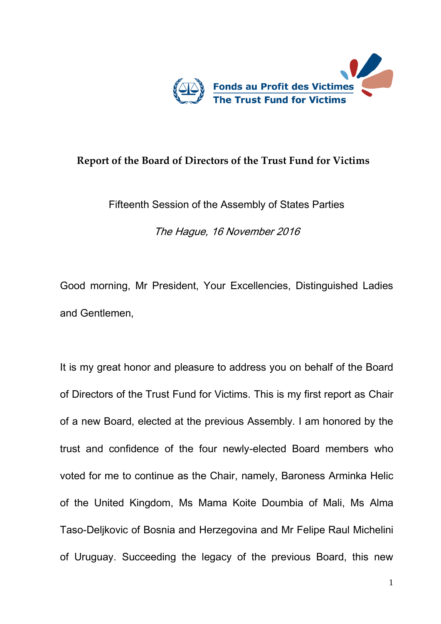

## **Report of the Board of Directors of the Trust Fund for Victims**

Fifteenth Session of the Assembly of States Parties

The Hague, 16 November 2016

Good morning, Mr President, Your Excellencies, Distinguished Ladies and Gentlemen,

It is my great honor and pleasure to address you on behalf of the Board of Directors of the Trust Fund for Victims. This is my first report as Chair of a new Board, elected at the previous Assembly. I am honored by the trust and confidence of the four newly-elected Board members who voted for me to continue as the Chair, namely, Baroness Arminka Helic of the United Kingdom, Ms Mama Koite Doumbia of Mali, Ms Alma Taso-Deljkovic of Bosnia and Herzegovina and Mr Felipe Raul Michelini of Uruguay. Succeeding the legacy of the previous Board, this new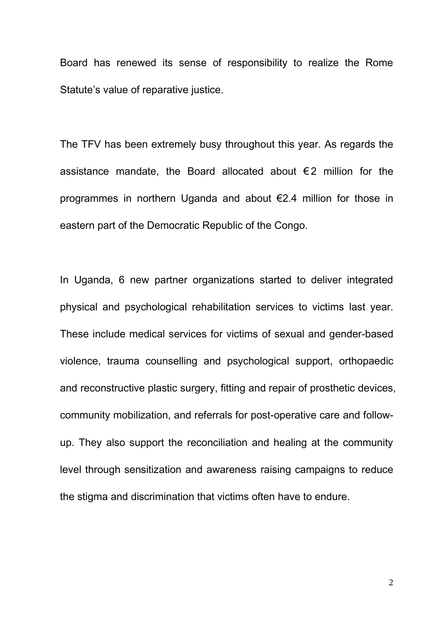Board has renewed its sense of responsibility to realize the Rome Statute's value of reparative justice.

The TFV has been extremely busy throughout this year. As regards the assistance mandate, the Board allocated about  $\epsilon$ 2 million for the programmes in northern Uganda and about €2.4 million for those in eastern part of the Democratic Republic of the Congo.

In Uganda, 6 new partner organizations started to deliver integrated physical and psychological rehabilitation services to victims last year. These include medical services for victims of sexual and gender-based violence, trauma counselling and psychological support, orthopaedic and reconstructive plastic surgery, fitting and repair of prosthetic devices, community mobilization, and referrals for post-operative care and followup. They also support the reconciliation and healing at the community level through sensitization and awareness raising campaigns to reduce the stigma and discrimination that victims often have to endure.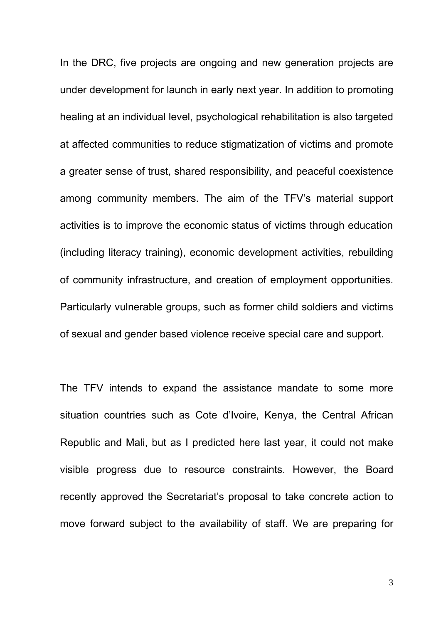In the DRC, five projects are ongoing and new generation projects are under development for launch in early next year. In addition to promoting healing at an individual level, psychological rehabilitation is also targeted at affected communities to reduce stigmatization of victims and promote a greater sense of trust, shared responsibility, and peaceful coexistence among community members. The aim of the TFV's material support activities is to improve the economic status of victims through education (including literacy training), economic development activities, rebuilding of community infrastructure, and creation of employment opportunities. Particularly vulnerable groups, such as former child soldiers and victims of sexual and gender based violence receive special care and support.

The TFV intends to expand the assistance mandate to some more situation countries such as Cote d'Ivoire, Kenya, the Central African Republic and Mali, but as I predicted here last year, it could not make visible progress due to resource constraints. However, the Board recently approved the Secretariat's proposal to take concrete action to move forward subject to the availability of staff. We are preparing for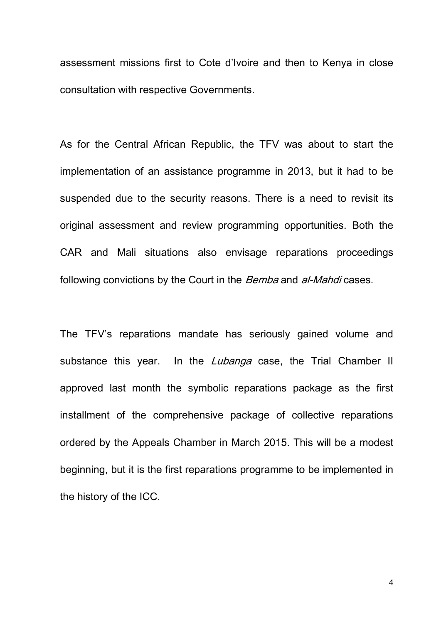assessment missions first to Cote d'Ivoire and then to Kenya in close consultation with respective Governments.

As for the Central African Republic, the TFV was about to start the implementation of an assistance programme in 2013, but it had to be suspended due to the security reasons. There is a need to revisit its original assessment and review programming opportunities. Both the CAR and Mali situations also envisage reparations proceedings following convictions by the Court in the *Bemba* and *al-Mahdi* cases.

The TFV's reparations mandate has seriously gained volume and substance this year. In the *Lubanga* case, the Trial Chamber II approved last month the symbolic reparations package as the first installment of the comprehensive package of collective reparations ordered by the Appeals Chamber in March 2015. This will be a modest beginning, but it is the first reparations programme to be implemented in the history of the ICC.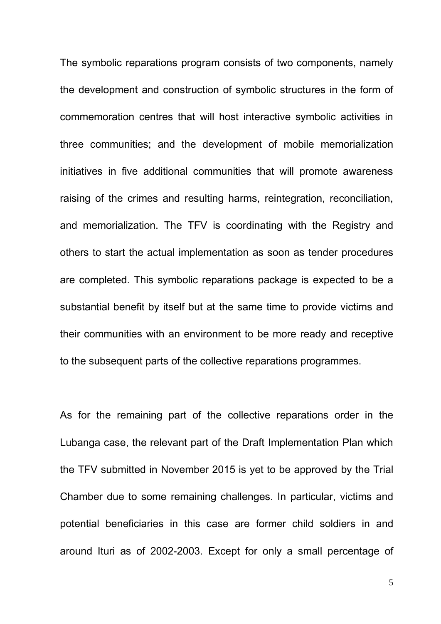The symbolic reparations program consists of two components, namely the development and construction of symbolic structures in the form of commemoration centres that will host interactive symbolic activities in three communities; and the development of mobile memorialization initiatives in five additional communities that will promote awareness raising of the crimes and resulting harms, reintegration, reconciliation, and memorialization. The TFV is coordinating with the Registry and others to start the actual implementation as soon as tender procedures are completed. This symbolic reparations package is expected to be a substantial benefit by itself but at the same time to provide victims and their communities with an environment to be more ready and receptive to the subsequent parts of the collective reparations programmes.

As for the remaining part of the collective reparations order in the Lubanga case, the relevant part of the Draft Implementation Plan which the TFV submitted in November 2015 is yet to be approved by the Trial Chamber due to some remaining challenges. In particular, victims and potential beneficiaries in this case are former child soldiers in and around Ituri as of 2002-2003. Except for only a small percentage of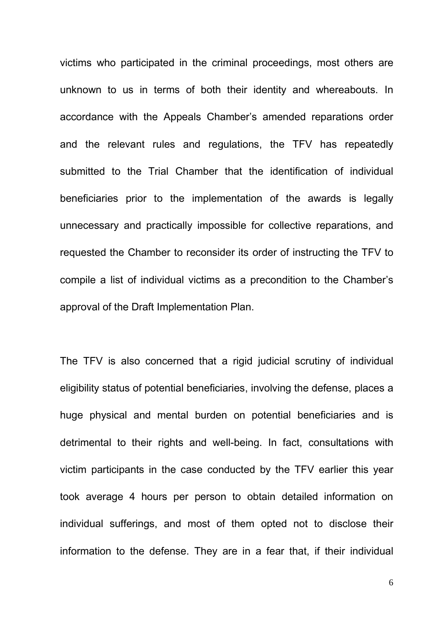victims who participated in the criminal proceedings, most others are unknown to us in terms of both their identity and whereabouts. In accordance with the Appeals Chamber's amended reparations order and the relevant rules and regulations, the TFV has repeatedly submitted to the Trial Chamber that the identification of individual beneficiaries prior to the implementation of the awards is legally unnecessary and practically impossible for collective reparations, and requested the Chamber to reconsider its order of instructing the TFV to compile a list of individual victims as a precondition to the Chamber's approval of the Draft Implementation Plan.

The TFV is also concerned that a rigid judicial scrutiny of individual eligibility status of potential beneficiaries, involving the defense, places a huge physical and mental burden on potential beneficiaries and is detrimental to their rights and well-being. In fact, consultations with victim participants in the case conducted by the TFV earlier this year took average 4 hours per person to obtain detailed information on individual sufferings, and most of them opted not to disclose their information to the defense. They are in a fear that, if their individual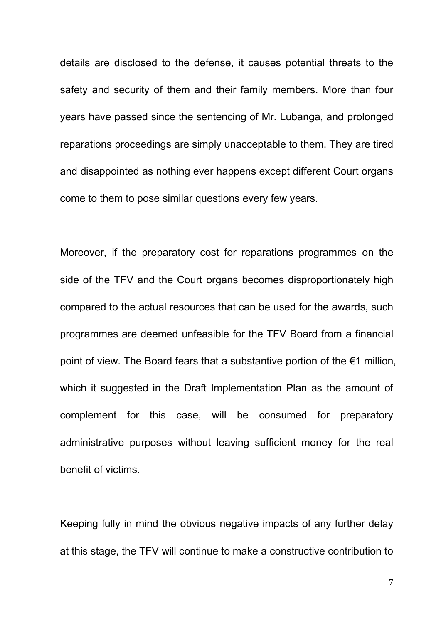details are disclosed to the defense, it causes potential threats to the safety and security of them and their family members. More than four years have passed since the sentencing of Mr. Lubanga, and prolonged reparations proceedings are simply unacceptable to them. They are tired and disappointed as nothing ever happens except different Court organs come to them to pose similar questions every few years.

Moreover, if the preparatory cost for reparations programmes on the side of the TFV and the Court organs becomes disproportionately high compared to the actual resources that can be used for the awards, such programmes are deemed unfeasible for the TFV Board from a financial point of view. The Board fears that a substantive portion of the €1 million. which it suggested in the Draft Implementation Plan as the amount of complement for this case, will be consumed for preparatory administrative purposes without leaving sufficient money for the real benefit of victims.

Keeping fully in mind the obvious negative impacts of any further delay at this stage, the TFV will continue to make a constructive contribution to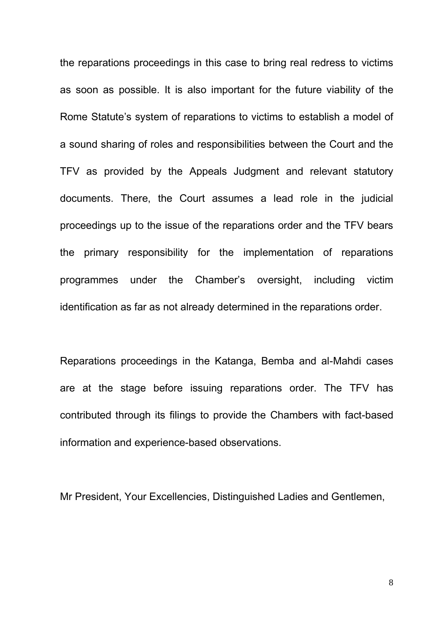the reparations proceedings in this case to bring real redress to victims as soon as possible. It is also important for the future viability of the Rome Statute's system of reparations to victims to establish a model of a sound sharing of roles and responsibilities between the Court and the TFV as provided by the Appeals Judgment and relevant statutory documents. There, the Court assumes a lead role in the judicial proceedings up to the issue of the reparations order and the TFV bears the primary responsibility for the implementation of reparations programmes under the Chamber's oversight, including victim identification as far as not already determined in the reparations order.

Reparations proceedings in the Katanga, Bemba and al-Mahdi cases are at the stage before issuing reparations order. The TFV has contributed through its filings to provide the Chambers with fact-based information and experience-based observations.

Mr President, Your Excellencies, Distinguished Ladies and Gentlemen,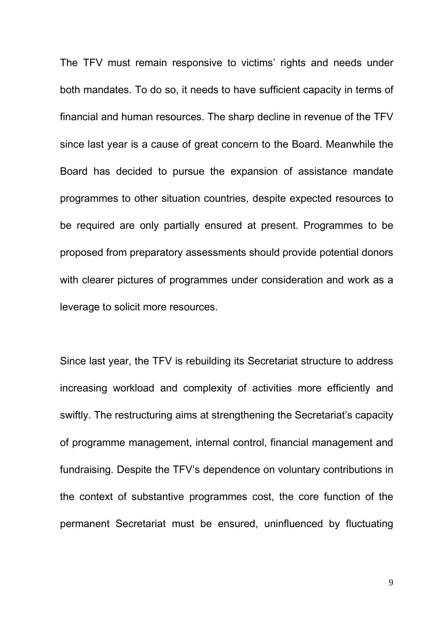The TFV must remain responsive to victims' rights and needs under both mandates. To do so, it needs to have sufficient capacity in terms of financial and human resources. The sharp decline in revenue of the TFV since last year is a cause of great concern to the Board. Meanwhile the Board has decided to pursue the expansion of assistance mandate programmes to other situation countries, despite expected resources to be required are only partially ensured at present. Programmes to be proposed from preparatory assessments should provide potential donors with clearer pictures of programmes under consideration and work as a leverage to solicit more resources.

Since last year, the TFV is rebuilding its Secretariat structure to address increasing workload and complexity of activities more efficiently and swiftly. The restructuring aims at strengthening the Secretariat's capacity of programme management, internal control, financial management and fundraising. Despite the TFV's dependence on voluntary contributions in the context of substantive programmes cost, the core function of the permanent Secretariat must be ensured, uninfluenced by fluctuating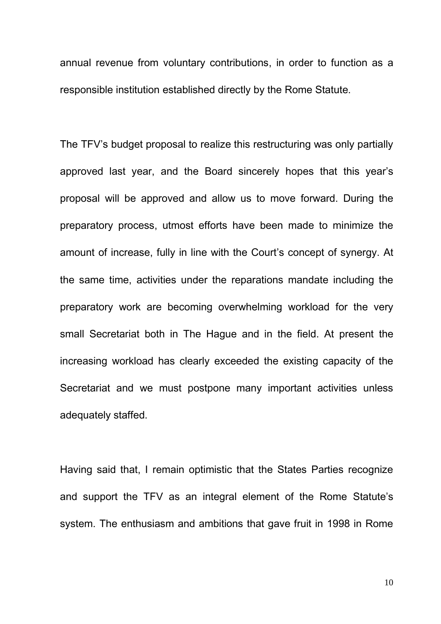annual revenue from voluntary contributions, in order to function as a responsible institution established directly by the Rome Statute.

The TFV's budget proposal to realize this restructuring was only partially approved last year, and the Board sincerely hopes that this year's proposal will be approved and allow us to move forward. During the preparatory process, utmost efforts have been made to minimize the amount of increase, fully in line with the Court's concept of synergy. At the same time, activities under the reparations mandate including the preparatory work are becoming overwhelming workload for the very small Secretariat both in The Hague and in the field. At present the increasing workload has clearly exceeded the existing capacity of the Secretariat and we must postpone many important activities unless adequately staffed.

Having said that, I remain optimistic that the States Parties recognize and support the TFV as an integral element of the Rome Statute's system. The enthusiasm and ambitions that gave fruit in 1998 in Rome